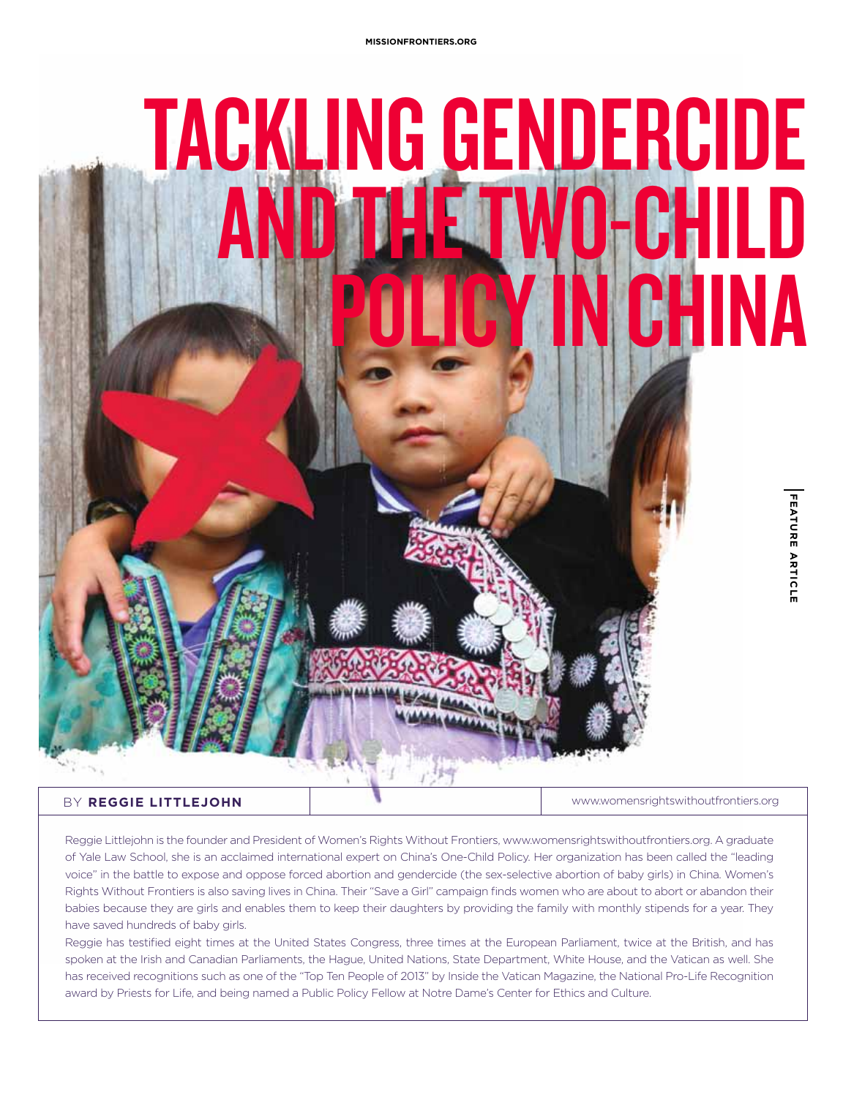

## BY **Reggie Littlejohn**

www.womensrightswithoutfrontiers.org

Reggie Littlejohn is the founder and President of Women's Rights Without Frontiers, www.womensrightswithoutfrontiers.org. A graduate of Yale Law School, she is an acclaimed international expert on China's One-Child Policy. Her organization has been called the "leading voice" in the battle to expose and oppose forced abortion and gendercide (the sex-selective abortion of baby girls) in China. Women's Rights Without Frontiers is also saving lives in China. Their "Save a Girl" campaign finds women who are about to abort or abandon their babies because they are girls and enables them to keep their daughters by providing the family with monthly stipends for a year. They have saved hundreds of baby girls.

Reggie has testified eight times at the United States Congress, three times at the European Parliament, twice at the British, and has spoken at the Irish and Canadian Parliaments, the Hague, United Nations, State Department, White House, and the Vatican as well. She has received recognitions such as one of the "Top Ten People of 2013" by Inside the Vatican Magazine, the National Pro-Life Recognition award by Priests for Life, and being named a Public Policy Fellow at Notre Dame's Center for Ethics and Culture.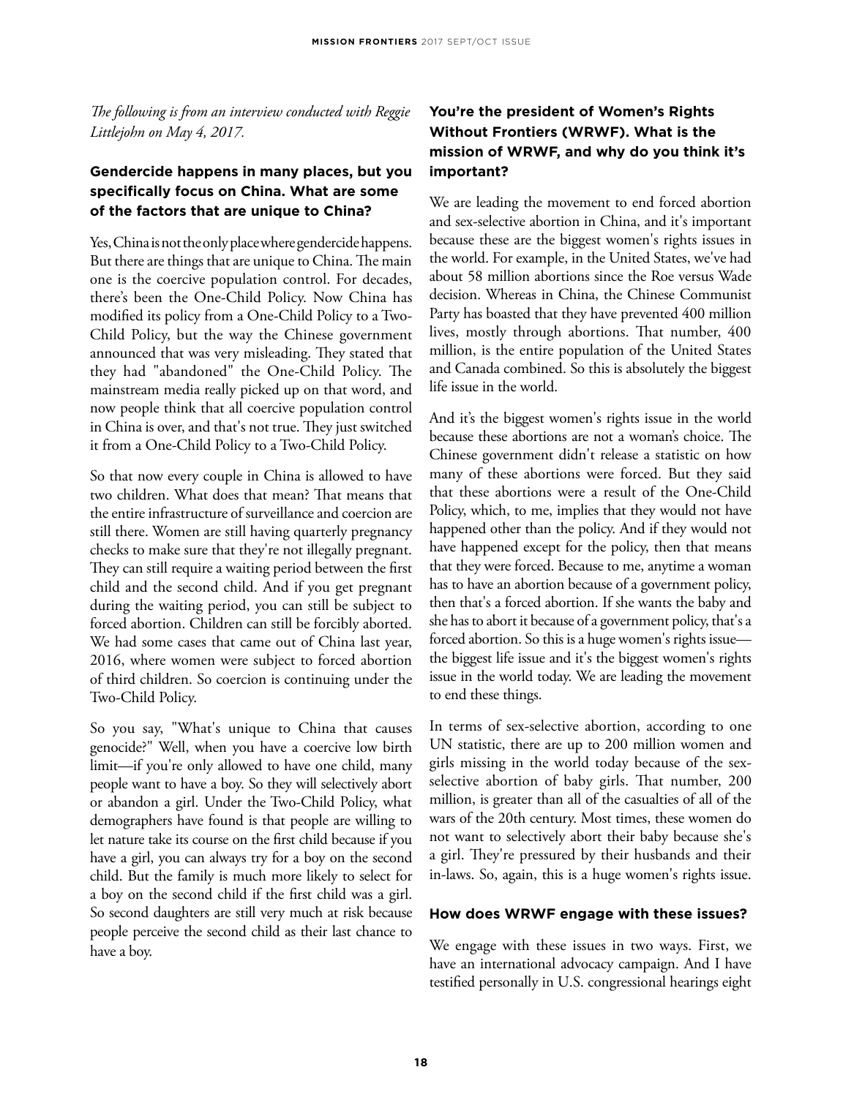*The following is from an interview conducted with Reggie Littlejohn on May 4, 2017.*

## **Gendercide happens in many places, but you specifically focus on China. What are some of the factors that are unique to China?**

Yes, China is not the only place where gendercidehappens. But there are things that are unique to China. The main one is the coercive population control. For decades, there's been the One-Child Policy. Now China has modified its policy from a One-Child Policy to a Two-Child Policy, but the way the Chinese government announced that was very misleading. They stated that they had "abandoned" the One-Child Policy. The mainstream media really picked up on that word, and now people think that all coercive population control in China is over, and that's not true. They just switched it from a One-Child Policy to a Two-Child Policy.

So that now every couple in China is allowed to have two children. What does that mean? That means that the entire infrastructure of surveillance and coercion are still there. Women are still having quarterly pregnancy checks to make sure that they're not illegally pregnant. They can still require a waiting period between the first child and the second child. And if you get pregnant during the waiting period, you can still be subject to forced abortion. Children can still be forcibly aborted. We had some cases that came out of China last year, 2016, where women were subject to forced abortion of third children. So coercion is continuing under the Two-Child Policy.

So you say, "What's unique to China that causes genocide?" Well, when you have a coercive low birth limit—if you're only allowed to have one child, many people want to have a boy. So they will selectively abort or abandon a girl. Under the Two-Child Policy, what demographers have found is that people are willing to let nature take its course on the first child because if you have a girl, you can always try for a boy on the second child. But the family is much more likely to select for a boy on the second child if the first child was a girl. So second daughters are still very much at risk because people perceive the second child as their last chance to have a boy.

## **You're the president of Women's Rights Without Frontiers (WRWF). What is the mission of WRWF, and why do you think it's important?**

We are leading the movement to end forced abortion and sex-selective abortion in China, and it's important because these are the biggest women's rights issues in the world. For example, in the United States, we've had about 58 million abortions since the Roe versus Wade decision. Whereas in China, the Chinese Communist Party has boasted that they have prevented 400 million lives, mostly through abortions. That number, 400 million, is the entire population of the United States and Canada combined. So this is absolutely the biggest life issue in the world.

And it's the biggest women's rights issue in the world because these abortions are not a woman's choice. The Chinese government didn't release a statistic on how many of these abortions were forced. But they said that these abortions were a result of the One-Child Policy, which, to me, implies that they would not have happened other than the policy. And if they would not have happened except for the policy, then that means that they were forced. Because to me, anytime a woman has to have an abortion because of a government policy, then that's a forced abortion. If she wants the baby and she has to abort it because of a government policy, that's a forced abortion. So this is a huge women's rights issue the biggest life issue and it's the biggest women's rights issue in the world today. We are leading the movement to end these things.

In terms of sex-selective abortion, according to one UN statistic, there are up to 200 million women and girls missing in the world today because of the sexselective abortion of baby girls. That number, 200 million, is greater than all of the casualties of all of the wars of the 20th century. Most times, these women do not want to selectively abort their baby because she's a girl. They're pressured by their husbands and their in-laws. So, again, this is a huge women's rights issue.

## **How does WRWF engage with these issues?**

We engage with these issues in two ways. First, we have an international advocacy campaign. And I have testified personally in U.S. congressional hearings eight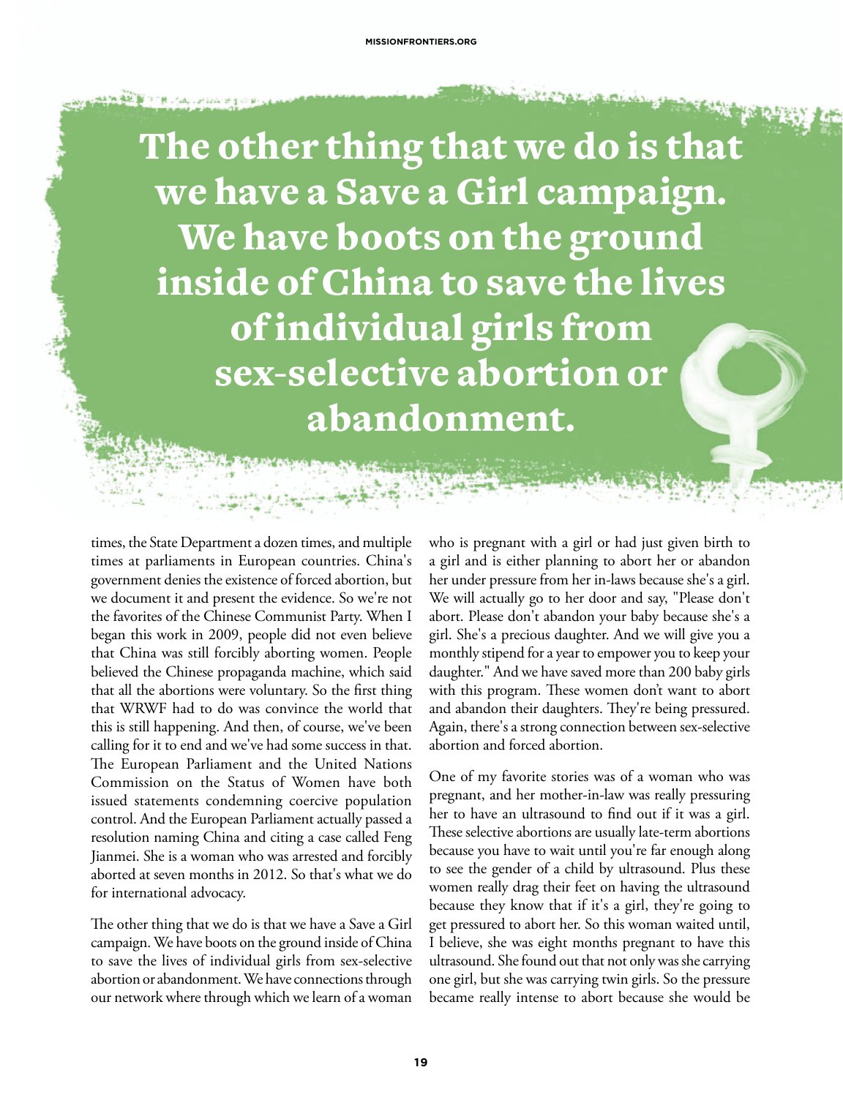The other thing that we do is that we have a Save a Girl campaign. We have boots on the ground inside of China to save the lives of individual girls from sex-selective abortion or abandonment.

times, the State Department a dozen times, and multiple times at parliaments in European countries. China's government denies the existence of forced abortion, but we document it and present the evidence. So we're not the favorites of the Chinese Communist Party. When I began this work in 2009, people did not even believe that China was still forcibly aborting women. People believed the Chinese propaganda machine, which said that all the abortions were voluntary. So the first thing that WRWF had to do was convince the world that this is still happening. And then, of course, we've been calling for it to end and we've had some success in that. The European Parliament and the United Nations Commission on the Status of Women have both issued statements condemning coercive population control. And the European Parliament actually passed a resolution naming China and citing a case called Feng Jianmei. She is a woman who was arrested and forcibly aborted at seven months in 2012. So that's what we do for international advocacy.

فالمحد المدرورة

The other thing that we do is that we have a Save a Girl campaign. We have boots on the ground inside of China to save the lives of individual girls from sex-selective abortion or abandonment. We have connections through our network where through which we learn of a woman who is pregnant with a girl or had just given birth to a girl and is either planning to abort her or abandon her under pressure from her in-laws because she's a girl. We will actually go to her door and say, "Please don't abort. Please don't abandon your baby because she's a girl. She's a precious daughter. And we will give you a monthly stipend for a year to empower you to keep your daughter." And we have saved more than 200 baby girls with this program. These women don't want to abort and abandon their daughters. They're being pressured. Again, there's a strong connection between sex-selective abortion and forced abortion.

One of my favorite stories was of a woman who was pregnant, and her mother-in-law was really pressuring her to have an ultrasound to find out if it was a girl. These selective abortions are usually late-term abortions because you have to wait until you're far enough along to see the gender of a child by ultrasound. Plus these women really drag their feet on having the ultrasound because they know that if it's a girl, they're going to get pressured to abort her. So this woman waited until, I believe, she was eight months pregnant to have this ultrasound. She found out that not only was she carrying one girl, but she was carrying twin girls. So the pressure became really intense to abort because she would be